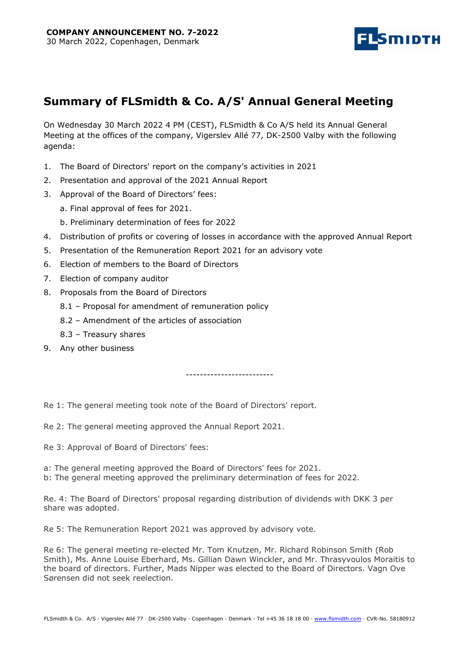

# Summary of FLSmidth & Co. A/S' Annual General Meeting

On Wednesday 30 March 2022 4 PM (CEST), FLSmidth & Co A/S held its Annual General Meeting at the offices of the company, Vigerslev Allé 77, DK-2500 Valby with the following agenda:

- 1. The Board of Directors' report on the company's activities in 2021
- 2. Presentation and approval of the 2021 Annual Report
- 3. Approval of the Board of Directors' fees:
	- a. Final approval of fees for 2021.
	- b. Preliminary determination of fees for 2022
- 4. Distribution of profits or covering of losses in accordance with the approved Annual Report
- 5. Presentation of the Remuneration Report 2021 for an advisory vote
- 6. Election of members to the Board of Directors
- 7. Election of company auditor
- 8. Proposals from the Board of Directors
	- 8.1 Proposal for amendment of remuneration policy
	- 8.2 Amendment of the articles of association
	- 8.3 Treasury shares
- 9. Any other business

-------------------------

Re 1: The general meeting took note of the Board of Directors' report.

Re 2: The general meeting approved the Annual Report 2021.

Re 3: Approval of Board of Directors' fees:

a: The general meeting approved the Board of Directors' fees for 2021.

b: The general meeting approved the preliminary determination of fees for 2022.

Re. 4: The Board of Directors' proposal regarding distribution of dividends with DKK 3 per share was adopted.

Re 5: The Remuneration Report 2021 was approved by advisory vote.

Re 6: The general meeting re-elected Mr. Tom Knutzen, Mr. Richard Robinson Smith (Rob Smith), Ms. Anne Louise Eberhard, Ms. Gillian Dawn Winckler, and Mr. Thrasyvoulos Moraitis to the board of directors. Further, Mads Nipper was elected to the Board of Directors. Vagn Ove Sørensen did not seek reelection.